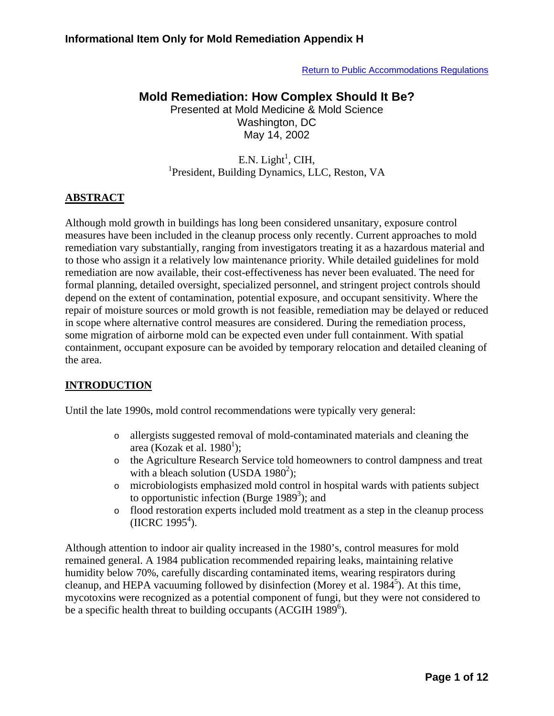[Return to Public Accommodations Regulations](http://www.cchd.org/environmental_health/plan_review/public_accommodations.htm)

# **Mold Remediation: How Complex Should It Be?**

Presented at Mold Medicine & Mold Science Washington, DC May 14, 2002

### $E.N.$  Light<sup>1</sup>, CIH, <sup>1</sup>President, Building Dynamics, LLC, Reston, VA

#### **ABSTRACT**

Although mold growth in buildings has long been considered unsanitary, exposure control measures have been included in the cleanup process only recently. Current approaches to mold remediation vary substantially, ranging from investigators treating it as a hazardous material and to those who assign it a relatively low maintenance priority. While detailed guidelines for mold remediation are now available, their cost-effectiveness has never been evaluated. The need for formal planning, detailed oversight, specialized personnel, and stringent project controls should depend on the extent of contamination, potential exposure, and occupant sensitivity. Where the repair of moisture sources or mold growth is not feasible, remediation may be delayed or reduced in scope where alternative control measures are considered. During the remediation process, some migration of airborne mold can be expected even under full containment. With spatial containment, occupant exposure can be avoided by temporary relocation and detailed cleaning of the area.

### **INTRODUCTION**

Until the late 1990s, mold control recommendations were typically very general:

- o allergists suggested removal of mold-contaminated materials and cleaning the area (Kozak et al. 1980<sup>1</sup>);
- o the Agriculture Research Service told homeowners to control dampness and treat with a bleach solution (USDA  $1980^2$ );
- o microbiologists emphasized mold control in hospital wards with patients subject to opportunistic infection (Burge  $1989<sup>3</sup>$ ); and
- o flood restoration experts included mold treatment as a step in the cleanup process  $(HCRC 1995<sup>4</sup>)$ .

Although attention to indoor air quality increased in the 1980's, control measures for mold remained general. A 1984 publication recommended repairing leaks, maintaining relative humidity below 70%, carefully discarding contaminated items, wearing respirators during cleanup, and HEPA vacuuming followed by disinfection (Morey et al.  $1984^5$ ). At this time, mycotoxins were recognized as a potential component of fungi, but they were not considered to be a specific health threat to building occupants (ACGIH 1989 $^6$ ).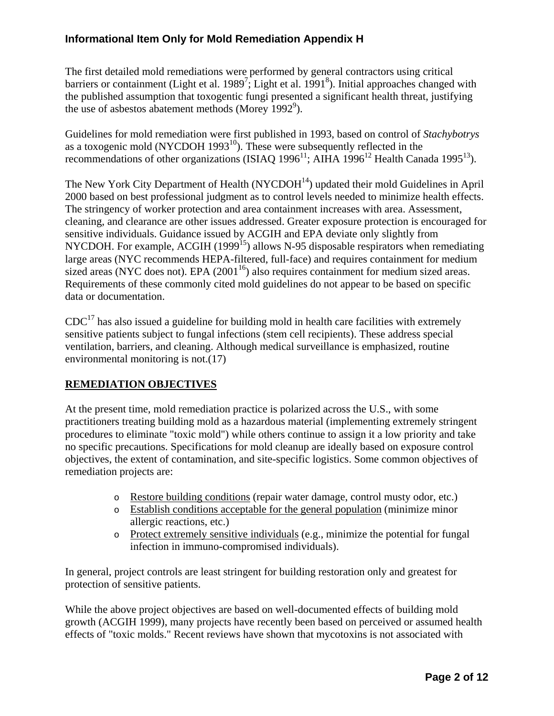The first detailed mold remediations were performed by general contractors using critical barriers or containment (Light et al. 1989<sup>7</sup>; Light et al. 1991<sup>8</sup>). Initial approaches changed with the published assumption that toxogentic fungi presented a significant health threat, justifying the use of asbestos abatement methods (Morey 1992<sup>9</sup>).

Guidelines for mold remediation were first published in 1993, based on control of *Stachybotrys* as a toxogenic mold (NYCDOH 1993 $^{10}$ ). These were subsequently reflected in the recommendations of other organizations (ISIAQ 1996<sup>11</sup>; AIHA 1996<sup>12</sup> Health Canada 1995<sup>13</sup>).

The New York City Department of Health  $(NYCDOH<sup>14</sup>)$  updated their mold Guidelines in April 2000 based on best professional judgment as to control levels needed to minimize health effects. The stringency of worker protection and area containment increases with area. Assessment, cleaning, and clearance are other issues addressed. Greater exposure protection is encouraged for sensitive individuals. Guidance issued by ACGIH and EPA deviate only slightly from NYCDOH. For example, ACGIH (1999<sup>15</sup>) allows N-95 disposable respirators when remediating large areas (NYC recommends HEPA-filtered, full-face) and requires containment for medium sized areas (NYC does not). EPA  $(2001^{16})$  also requires containment for medium sized areas. Requirements of these commonly cited mold guidelines do not appear to be based on specific data or documentation.

 $CDC<sup>17</sup>$  has also issued a guideline for building mold in health care facilities with extremely sensitive patients subject to fungal infections (stem cell recipients). These address special ventilation, barriers, and cleaning. Although medical surveillance is emphasized, routine environmental monitoring is not.(17)

# **REMEDIATION OBJECTIVES**

At the present time, mold remediation practice is polarized across the U.S., with some practitioners treating building mold as a hazardous material (implementing extremely stringent procedures to eliminate "toxic mold") while others continue to assign it a low priority and take no specific precautions. Specifications for mold cleanup are ideally based on exposure control objectives, the extent of contamination, and site-specific logistics. Some common objectives of remediation projects are:

- o Restore building conditions (repair water damage, control musty odor, etc.)
- o Establish conditions acceptable for the general population (minimize minor allergic reactions, etc.)
- o Protect extremely sensitive individuals (e.g., minimize the potential for fungal infection in immuno-compromised individuals).

In general, project controls are least stringent for building restoration only and greatest for protection of sensitive patients.

While the above project objectives are based on well-documented effects of building mold growth (ACGIH 1999), many projects have recently been based on perceived or assumed health effects of "toxic molds." Recent reviews have shown that mycotoxins is not associated with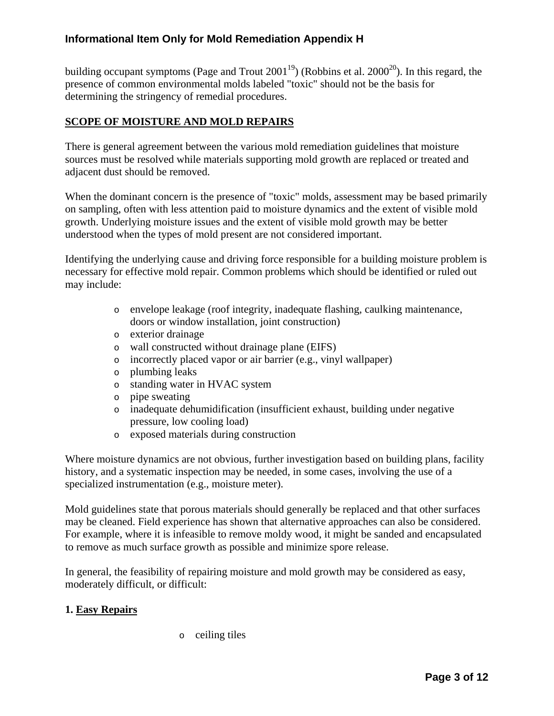building occupant symptoms (Page and Trout  $2001^{19}$ ) (Robbins et al.  $2000^{20}$ ). In this regard, the presence of common environmental molds labeled "toxic" should not be the basis for determining the stringency of remedial procedures.

### **SCOPE OF MOISTURE AND MOLD REPAIRS**

There is general agreement between the various mold remediation guidelines that moisture sources must be resolved while materials supporting mold growth are replaced or treated and adjacent dust should be removed.

When the dominant concern is the presence of "toxic" molds, assessment may be based primarily on sampling, often with less attention paid to moisture dynamics and the extent of visible mold growth. Underlying moisture issues and the extent of visible mold growth may be better understood when the types of mold present are not considered important.

Identifying the underlying cause and driving force responsible for a building moisture problem is necessary for effective mold repair. Common problems which should be identified or ruled out may include:

- o envelope leakage (roof integrity, inadequate flashing, caulking maintenance, doors or window installation, joint construction)
- o exterior drainage
- o wall constructed without drainage plane (EIFS)
- o incorrectly placed vapor or air barrier (e.g., vinyl wallpaper)
- o plumbing leaks
- o standing water in HVAC system
- o pipe sweating
- o inadequate dehumidification (insufficient exhaust, building under negative pressure, low cooling load)
- o exposed materials during construction

Where moisture dynamics are not obvious, further investigation based on building plans, facility history, and a systematic inspection may be needed, in some cases, involving the use of a specialized instrumentation (e.g., moisture meter).

Mold guidelines state that porous materials should generally be replaced and that other surfaces may be cleaned. Field experience has shown that alternative approaches can also be considered. For example, where it is infeasible to remove moldy wood, it might be sanded and encapsulated to remove as much surface growth as possible and minimize spore release.

In general, the feasibility of repairing moisture and mold growth may be considered as easy, moderately difficult, or difficult:

#### **1. Easy Repairs**

o ceiling tiles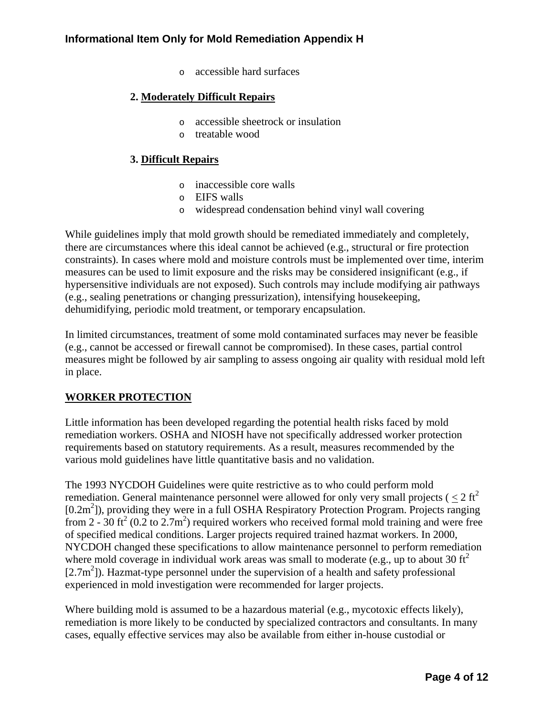o accessible hard surfaces

### **2. Moderately Difficult Repairs**

- o accessible sheetrock or insulation
- o treatable wood

#### **3. Difficult Repairs**

- o inaccessible core walls
- o EIFS walls
- o widespread condensation behind vinyl wall covering

While guidelines imply that mold growth should be remediated immediately and completely, there are circumstances where this ideal cannot be achieved (e.g., structural or fire protection constraints). In cases where mold and moisture controls must be implemented over time, interim measures can be used to limit exposure and the risks may be considered insignificant (e.g., if hypersensitive individuals are not exposed). Such controls may include modifying air pathways (e.g., sealing penetrations or changing pressurization), intensifying housekeeping, dehumidifying, periodic mold treatment, or temporary encapsulation.

In limited circumstances, treatment of some mold contaminated surfaces may never be feasible (e.g., cannot be accessed or firewall cannot be compromised). In these cases, partial control measures might be followed by air sampling to assess ongoing air quality with residual mold left in place.

### **WORKER PROTECTION**

Little information has been developed regarding the potential health risks faced by mold remediation workers. OSHA and NIOSH have not specifically addressed worker protection requirements based on statutory requirements. As a result, measures recommended by the various mold guidelines have little quantitative basis and no validation.

The 1993 NYCDOH Guidelines were quite restrictive as to who could perform mold remediation. General maintenance personnel were allowed for only very small projects ( $\langle 2 \text{ ft}^2 \rangle$ [0.2m<sup>2</sup>]), providing they were in a full OSHA Respiratory Protection Program. Projects ranging from 2 -  $30$  ft<sup>2</sup> (0.2 to 2.7m<sup>2</sup>) required workers who received formal mold training and were free of specified medical conditions. Larger projects required trained hazmat workers. In 2000, NYCDOH changed these specifications to allow maintenance personnel to perform remediation where mold coverage in individual work areas was small to moderate (e.g., up to about 30  $\text{ft}^2$ ) [2.7m<sup>2</sup>]). Hazmat-type personnel under the supervision of a health and safety professional experienced in mold investigation were recommended for larger projects.

Where building mold is assumed to be a hazardous material (e.g., mycotoxic effects likely), remediation is more likely to be conducted by specialized contractors and consultants. In many cases, equally effective services may also be available from either in-house custodial or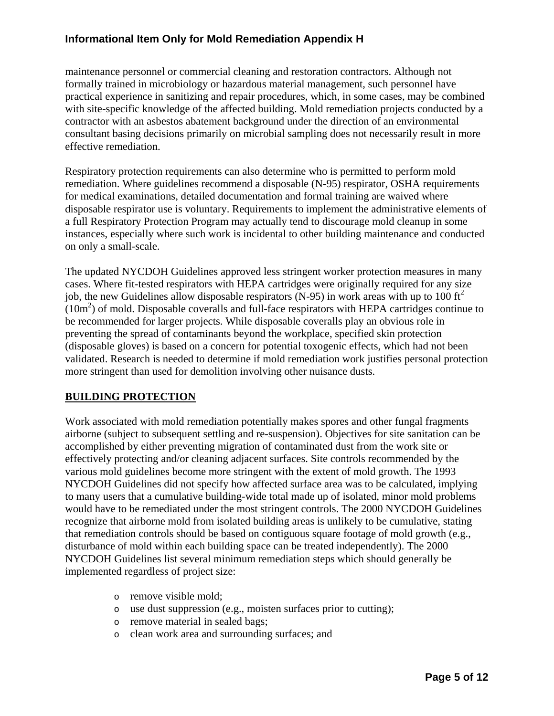maintenance personnel or commercial cleaning and restoration contractors. Although not formally trained in microbiology or hazardous material management, such personnel have practical experience in sanitizing and repair procedures, which, in some cases, may be combined with site-specific knowledge of the affected building. Mold remediation projects conducted by a contractor with an asbestos abatement background under the direction of an environmental consultant basing decisions primarily on microbial sampling does not necessarily result in more effective remediation.

Respiratory protection requirements can also determine who is permitted to perform mold remediation. Where guidelines recommend a disposable (N-95) respirator, OSHA requirements for medical examinations, detailed documentation and formal training are waived where disposable respirator use is voluntary. Requirements to implement the administrative elements of a full Respiratory Protection Program may actually tend to discourage mold cleanup in some instances, especially where such work is incidental to other building maintenance and conducted on only a small-scale.

The updated NYCDOH Guidelines approved less stringent worker protection measures in many cases. Where fit-tested respirators with HEPA cartridges were originally required for any size job, the new Guidelines allow disposable respirators (N-95) in work areas with up to 100  $\text{ft}^2$  $(10m<sup>2</sup>)$  of mold. Disposable coveralls and full-face respirators with HEPA cartridges continue to be recommended for larger projects. While disposable coveralls play an obvious role in preventing the spread of contaminants beyond the workplace, specified skin protection (disposable gloves) is based on a concern for potential toxogenic effects, which had not been validated. Research is needed to determine if mold remediation work justifies personal protection more stringent than used for demolition involving other nuisance dusts.

### **BUILDING PROTECTION**

Work associated with mold remediation potentially makes spores and other fungal fragments airborne (subject to subsequent settling and re-suspension). Objectives for site sanitation can be accomplished by either preventing migration of contaminated dust from the work site or effectively protecting and/or cleaning adjacent surfaces. Site controls recommended by the various mold guidelines become more stringent with the extent of mold growth. The 1993 NYCDOH Guidelines did not specify how affected surface area was to be calculated, implying to many users that a cumulative building-wide total made up of isolated, minor mold problems would have to be remediated under the most stringent controls. The 2000 NYCDOH Guidelines recognize that airborne mold from isolated building areas is unlikely to be cumulative, stating that remediation controls should be based on contiguous square footage of mold growth (e.g., disturbance of mold within each building space can be treated independently). The 2000 NYCDOH Guidelines list several minimum remediation steps which should generally be implemented regardless of project size:

- o remove visible mold;
- o use dust suppression (e.g., moisten surfaces prior to cutting);
- o remove material in sealed bags;
- o clean work area and surrounding surfaces; and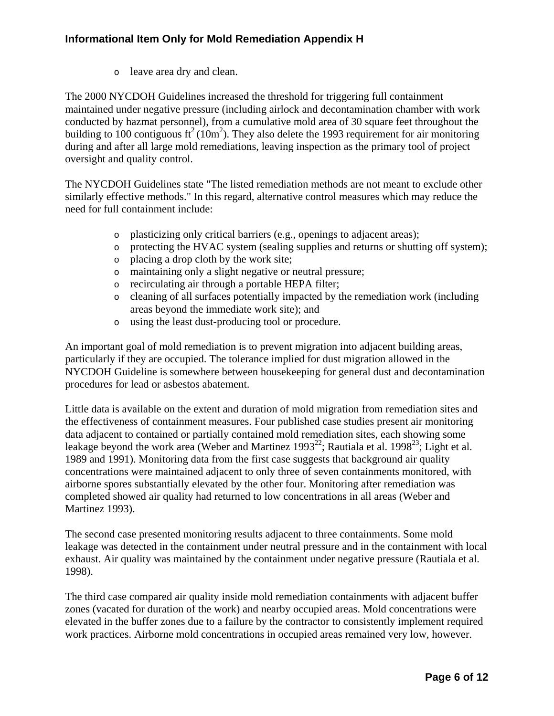o leave area dry and clean.

The 2000 NYCDOH Guidelines increased the threshold for triggering full containment maintained under negative pressure (including airlock and decontamination chamber with work conducted by hazmat personnel), from a cumulative mold area of 30 square feet throughout the building to 100 contiguous ft<sup>2</sup> (10m<sup>2</sup>). They also delete the 1993 requirement for air monitoring during and after all large mold remediations, leaving inspection as the primary tool of project oversight and quality control.

The NYCDOH Guidelines state "The listed remediation methods are not meant to exclude other similarly effective methods." In this regard, alternative control measures which may reduce the need for full containment include:

- o plasticizing only critical barriers (e.g., openings to adjacent areas);
- o protecting the HVAC system (sealing supplies and returns or shutting off system);
- o placing a drop cloth by the work site;
- o maintaining only a slight negative or neutral pressure;
- o recirculating air through a portable HEPA filter;
- o cleaning of all surfaces potentially impacted by the remediation work (including areas beyond the immediate work site); and
- o using the least dust-producing tool or procedure.

An important goal of mold remediation is to prevent migration into adjacent building areas, particularly if they are occupied. The tolerance implied for dust migration allowed in the NYCDOH Guideline is somewhere between housekeeping for general dust and decontamination procedures for lead or asbestos abatement.

Little data is available on the extent and duration of mold migration from remediation sites and the effectiveness of containment measures. Four published case studies present air monitoring data adjacent to contained or partially contained mold remediation sites, each showing some leakage beyond the work area (Weber and Martinez 1993<sup>22</sup>; Rautiala et al. 1998<sup>23</sup>; Light et al. 1989 and 1991). Monitoring data from the first case suggests that background air quality concentrations were maintained adjacent to only three of seven containments monitored, with airborne spores substantially elevated by the other four. Monitoring after remediation was completed showed air quality had returned to low concentrations in all areas (Weber and Martinez 1993).

The second case presented monitoring results adjacent to three containments. Some mold leakage was detected in the containment under neutral pressure and in the containment with local exhaust. Air quality was maintained by the containment under negative pressure (Rautiala et al. 1998).

The third case compared air quality inside mold remediation containments with adjacent buffer zones (vacated for duration of the work) and nearby occupied areas. Mold concentrations were elevated in the buffer zones due to a failure by the contractor to consistently implement required work practices. Airborne mold concentrations in occupied areas remained very low, however.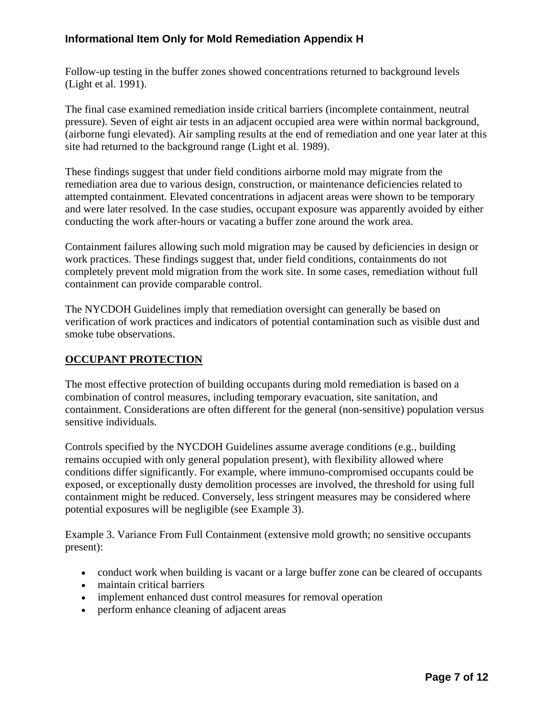Follow-up testing in the buffer zones showed concentrations returned to background levels (Light et al. 1991).

The final case examined remediation inside critical barriers (incomplete containment, neutral pressure). Seven of eight air tests in an adjacent occupied area were within normal background, (airborne fungi elevated). Air sampling results at the end of remediation and one year later at this site had returned to the background range (Light et al. 1989).

These findings suggest that under field conditions airborne mold may migrate from the remediation area due to various design, construction, or maintenance deficiencies related to attempted containment. Elevated concentrations in adjacent areas were shown to be temporary and were later resolved. In the case studies, occupant exposure was apparently avoided by either conducting the work after-hours or vacating a buffer zone around the work area.

Containment failures allowing such mold migration may be caused by deficiencies in design or work practices. These findings suggest that, under field conditions, containments do not completely prevent mold migration from the work site. In some cases, remediation without full containment can provide comparable control.

The NYCDOH Guidelines imply that remediation oversight can generally be based on verification of work practices and indicators of potential contamination such as visible dust and smoke tube observations.

#### **OCCUPANT PROTECTION**

The most effective protection of building occupants during mold remediation is based on a combination of control measures, including temporary evacuation, site sanitation, and containment. Considerations are often different for the general (non-sensitive) population versus sensitive individuals.

Controls specified by the NYCDOH Guidelines assume average conditions (e.g., building remains occupied with only general population present), with flexibility allowed where conditions differ significantly. For example, where immuno-compromised occupants could be exposed, or exceptionally dusty demolition processes are involved, the threshold for using full containment might be reduced. Conversely, less stringent measures may be considered where potential exposures will be negligible (see Example 3).

Example 3. Variance From Full Containment (extensive mold growth; no sensitive occupants present):

- conduct work when building is vacant or a large buffer zone can be cleared of occupants
- maintain critical barriers
- implement enhanced dust control measures for removal operation
- perform enhance cleaning of adjacent areas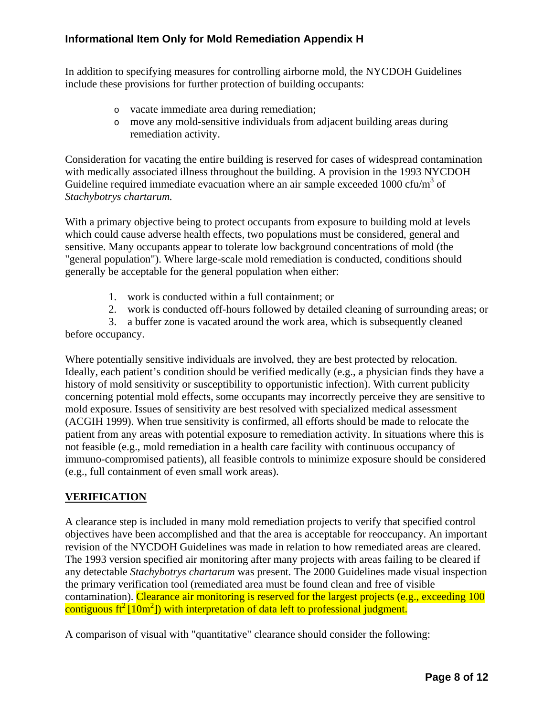In addition to specifying measures for controlling airborne mold, the NYCDOH Guidelines include these provisions for further protection of building occupants:

- o vacate immediate area during remediation;
- o move any mold-sensitive individuals from adjacent building areas during remediation activity.

Consideration for vacating the entire building is reserved for cases of widespread contamination with medically associated illness throughout the building. A provision in the 1993 NYCDOH Guideline required immediate evacuation where an air sample exceeded  $1000 \text{ cfu/m}^3$  of *Stachybotrys chartarum.*

With a primary objective being to protect occupants from exposure to building mold at levels which could cause adverse health effects, two populations must be considered, general and sensitive. Many occupants appear to tolerate low background concentrations of mold (the "general population"). Where large-scale mold remediation is conducted, conditions should generally be acceptable for the general population when either:

- 1. work is conducted within a full containment; or
- 2. work is conducted off-hours followed by detailed cleaning of surrounding areas; or

 3. a buffer zone is vacated around the work area, which is subsequently cleaned before occupancy.

Where potentially sensitive individuals are involved, they are best protected by relocation. Ideally, each patient's condition should be verified medically (e.g., a physician finds they have a history of mold sensitivity or susceptibility to opportunistic infection). With current publicity concerning potential mold effects, some occupants may incorrectly perceive they are sensitive to mold exposure. Issues of sensitivity are best resolved with specialized medical assessment (ACGIH 1999). When true sensitivity is confirmed, all efforts should be made to relocate the patient from any areas with potential exposure to remediation activity. In situations where this is not feasible (e.g., mold remediation in a health care facility with continuous occupancy of immuno-compromised patients), all feasible controls to minimize exposure should be considered (e.g., full containment of even small work areas).

### **VERIFICATION**

A clearance step is included in many mold remediation projects to verify that specified control objectives have been accomplished and that the area is acceptable for reoccupancy. An important revision of the NYCDOH Guidelines was made in relation to how remediated areas are cleared. The 1993 version specified air monitoring after many projects with areas failing to be cleared if any detectable *Stachybotrys chartarum* was present. The 2000 Guidelines made visual inspection the primary verification tool (remediated area must be found clean and free of visible contamination). Clearance air monitoring is reserved for the largest projects (e.g., exceeding 100 contiguous  $\text{ft}^2(10 \text{m}^2)$  with interpretation of data left to professional judgment.

A comparison of visual with "quantitative" clearance should consider the following: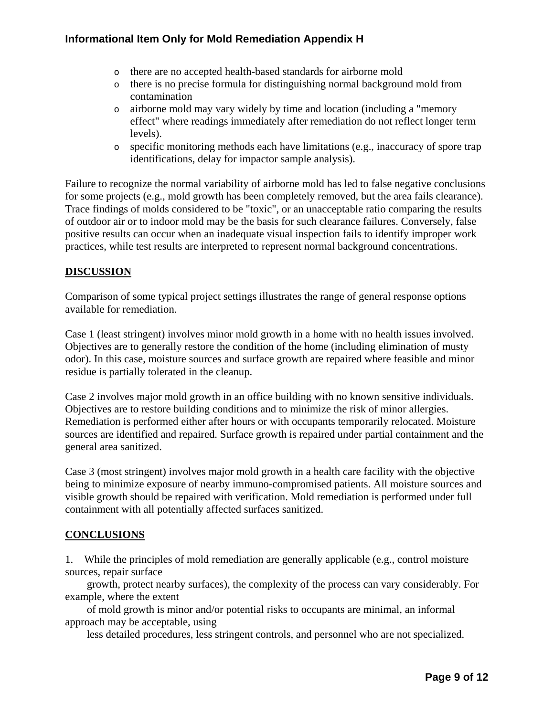- o there are no accepted health-based standards for airborne mold
- o there is no precise formula for distinguishing normal background mold from contamination
- o airborne mold may vary widely by time and location (including a "memory effect" where readings immediately after remediation do not reflect longer term levels).
- o specific monitoring methods each have limitations (e.g., inaccuracy of spore trap identifications, delay for impactor sample analysis).

Failure to recognize the normal variability of airborne mold has led to false negative conclusions for some projects (e.g., mold growth has been completely removed, but the area fails clearance). Trace findings of molds considered to be "toxic", or an unacceptable ratio comparing the results of outdoor air or to indoor mold may be the basis for such clearance failures. Conversely, false positive results can occur when an inadequate visual inspection fails to identify improper work practices, while test results are interpreted to represent normal background concentrations.

# **DISCUSSION**

Comparison of some typical project settings illustrates the range of general response options available for remediation.

Case 1 (least stringent) involves minor mold growth in a home with no health issues involved. Objectives are to generally restore the condition of the home (including elimination of musty odor). In this case, moisture sources and surface growth are repaired where feasible and minor residue is partially tolerated in the cleanup.

Case 2 involves major mold growth in an office building with no known sensitive individuals. Objectives are to restore building conditions and to minimize the risk of minor allergies. Remediation is performed either after hours or with occupants temporarily relocated. Moisture sources are identified and repaired. Surface growth is repaired under partial containment and the general area sanitized.

Case 3 (most stringent) involves major mold growth in a health care facility with the objective being to minimize exposure of nearby immuno-compromised patients. All moisture sources and visible growth should be repaired with verification. Mold remediation is performed under full containment with all potentially affected surfaces sanitized.

### **CONCLUSIONS**

1. While the principles of mold remediation are generally applicable (e.g., control moisture sources, repair surface

 growth, protect nearby surfaces), the complexity of the process can vary considerably. For example, where the extent

 of mold growth is minor and/or potential risks to occupants are minimal, an informal approach may be acceptable, using

less detailed procedures, less stringent controls, and personnel who are not specialized.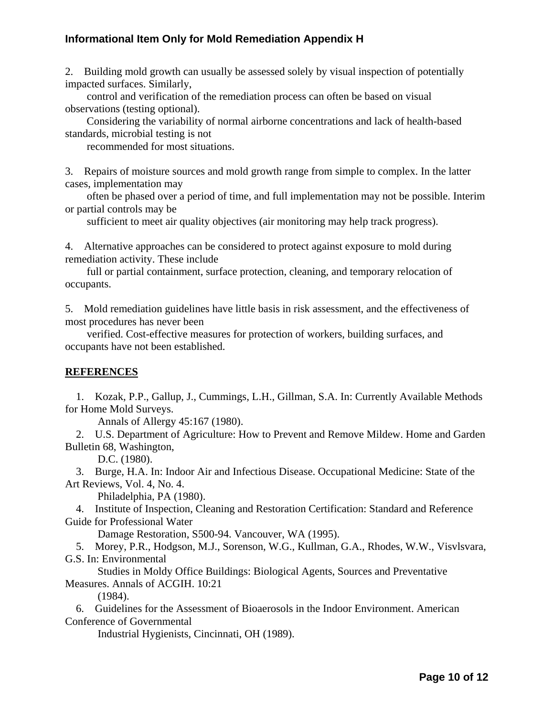2. Building mold growth can usually be assessed solely by visual inspection of potentially impacted surfaces. Similarly,

 control and verification of the remediation process can often be based on visual observations (testing optional).

 Considering the variability of normal airborne concentrations and lack of health-based standards, microbial testing is not

recommended for most situations.

3. Repairs of moisture sources and mold growth range from simple to complex. In the latter cases, implementation may

 often be phased over a period of time, and full implementation may not be possible. Interim or partial controls may be

sufficient to meet air quality objectives (air monitoring may help track progress).

4. Alternative approaches can be considered to protect against exposure to mold during remediation activity. These include

 full or partial containment, surface protection, cleaning, and temporary relocation of occupants.

5. Mold remediation guidelines have little basis in risk assessment, and the effectiveness of most procedures has never been

 verified. Cost-effective measures for protection of workers, building surfaces, and occupants have not been established.

#### **REFERENCES**

 1. Kozak, P.P., Gallup, J., Cummings, L.H., Gillman, S.A. In: Currently Available Methods for Home Mold Surveys.

Annals of Allergy 45:167 (1980).

 2. U.S. Department of Agriculture: How to Prevent and Remove Mildew. Home and Garden Bulletin 68, Washington,

D.C. (1980).

 3. Burge, H.A. In: Indoor Air and Infectious Disease. Occupational Medicine: State of the Art Reviews, Vol. 4, No. 4.

Philadelphia, PA (1980).

 4. Institute of Inspection, Cleaning and Restoration Certification: Standard and Reference Guide for Professional Water

Damage Restoration, S500-94. Vancouver, WA (1995).

 5. Morey, P.R., Hodgson, M.J., Sorenson, W.G., Kullman, G.A., Rhodes, W.W., Visvlsvara, G.S. In: Environmental

 Studies in Moldy Office Buildings: Biological Agents, Sources and Preventative Measures. Annals of ACGIH. 10:21

(1984).

 6. Guidelines for the Assessment of Bioaerosols in the Indoor Environment. American Conference of Governmental

Industrial Hygienists, Cincinnati, OH (1989).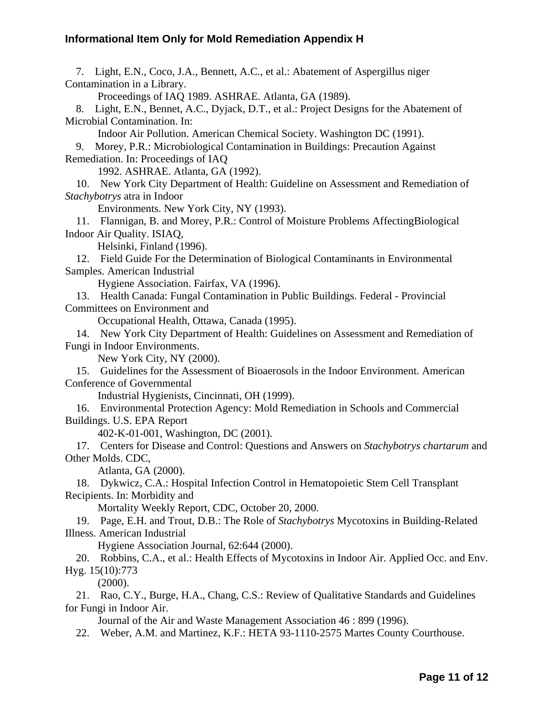7. Light, E.N., Coco, J.A., Bennett, A.C., et al.: Abatement of Aspergillus niger Contamination in a Library.

Proceedings of IAQ 1989. ASHRAE. Atlanta, GA (1989).

 8. Light, E.N., Bennet, A.C., Dyjack, D.T., et al.: Project Designs for the Abatement of Microbial Contamination. In:

Indoor Air Pollution. American Chemical Society. Washington DC (1991).

 9. Morey, P.R.: Microbiological Contamination in Buildings: Precaution Against Remediation. In: Proceedings of IAQ

1992. ASHRAE. Atlanta, GA (1992).

 10. New York City Department of Health: Guideline on Assessment and Remediation of *Stachybotrys* atra in Indoor

Environments. New York City, NY (1993).

 11. Flannigan, B. and Morey, P.R.: Control of Moisture Problems AffectingBiological Indoor Air Quality. ISIAQ,

Helsinki, Finland (1996).

 12. Field Guide For the Determination of Biological Contaminants in Environmental Samples. American Industrial

Hygiene Association. Fairfax, VA (1996).

 13. Health Canada: Fungal Contamination in Public Buildings. Federal - Provincial Committees on Environment and

Occupational Health, Ottawa, Canada (1995).

 14. New York City Department of Health: Guidelines on Assessment and Remediation of Fungi in Indoor Environments.

New York City, NY (2000).

 15. Guidelines for the Assessment of Bioaerosols in the Indoor Environment. American Conference of Governmental

Industrial Hygienists, Cincinnati, OH (1999).

 16. Environmental Protection Agency: Mold Remediation in Schools and Commercial Buildings. U.S. EPA Report

402-K-01-001, Washington, DC (2001).

 17. Centers for Disease and Control: Questions and Answers on *Stachybotrys chartarum* and Other Molds. CDC,

Atlanta, GA (2000).

 18. Dykwicz, C.A.: Hospital Infection Control in Hematopoietic Stem Cell Transplant Recipients. In: Morbidity and

Mortality Weekly Report, CDC, October 20, 2000.

 19. Page, E.H. and Trout, D.B.: The Role of *Stachybotrys* Mycotoxins in Building-Related Illness. American Industrial

Hygiene Association Journal, 62:644 (2000).

 20. Robbins, C.A., et al.: Health Effects of Mycotoxins in Indoor Air. Applied Occ. and Env. Hyg. 15(10):773

(2000).

 21. Rao, C.Y., Burge, H.A., Chang, C.S.: Review of Qualitative Standards and Guidelines for Fungi in Indoor Air.

Journal of the Air and Waste Management Association 46 : 899 (1996).

22. Weber, A.M. and Martinez, K.F.: HETA 93-1110-2575 Martes County Courthouse.